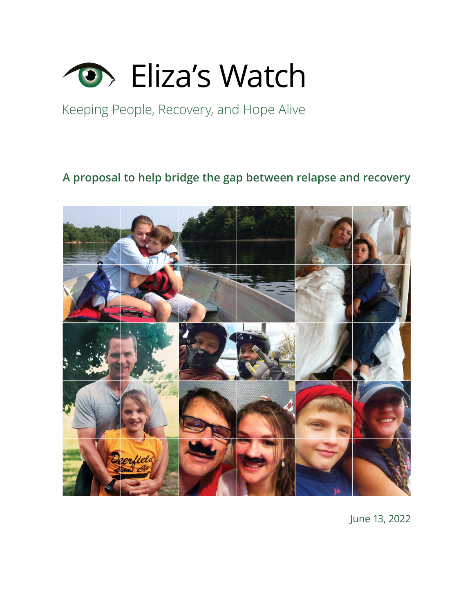

### Keeping People, Recovery, and Hope Alive

### **[A proposal to help bridge the gap between relapse and recovery](https://elizaswatch.com/)**



June 13, 2022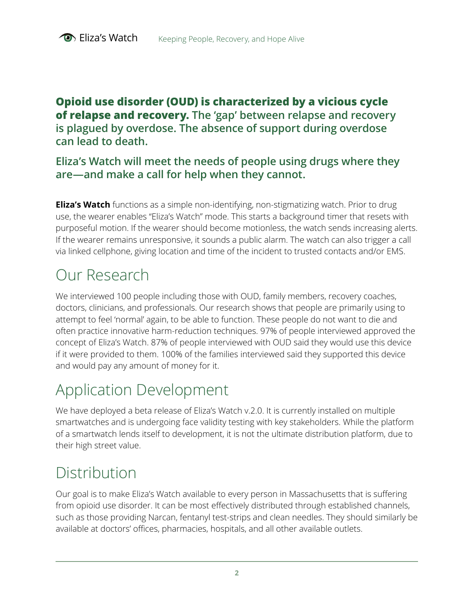**Opioid use disorder (OUD) is characterized by a vicious cycle of relapse and recovery. The 'gap' between relapse and recovery is plagued by overdose. The absence of support during overdose can lead to death.**

### **Eliza's Watch will meet the needs of people using drugs where they are—and make a call for help when they cannot.**

**Eliza's Watch** functions as a simple non-identifying, non-stigmatizing watch. Prior to drug use, the wearer enables "Eliza's Watch" mode. This starts a background timer that resets with purposeful motion. If the wearer should become motionless, the watch sends increasing alerts. If the wearer remains unresponsive, it sounds a public alarm. The watch can also trigger a call via linked cellphone, giving location and time of the incident to trusted contacts and/or EMS.

## Our Research

We interviewed 100 people including those with OUD, family members, recovery coaches, doctors, clinicians, and professionals. Our research shows that people are primarily using to attempt to feel 'normal' again, to be able to function. These people do not want to die and often practice innovative harm-reduction techniques. 97% of people interviewed approved the concept of Eliza's Watch. 87% of people interviewed with OUD said they would use this device if it were provided to them. 100% of the families interviewed said they supported this device and would pay any amount of money for it.

# Application Development

We have deployed a beta release of Eliza's Watch v.2.0. It is currently installed on multiple smartwatches and is undergoing face validity testing with key stakeholders. While the platform of a smartwatch lends itself to development, it is not the ultimate distribution platform, due to their high street value.

# Distribution

Our goal is to make Eliza's Watch available to every person in Massachusetts that is suffering from opioid use disorder. It can be most effectively distributed through established channels, such as those providing Narcan, fentanyl test-strips and clean needles. They should similarly be available at doctors' offices, pharmacies, hospitals, and all other available outlets.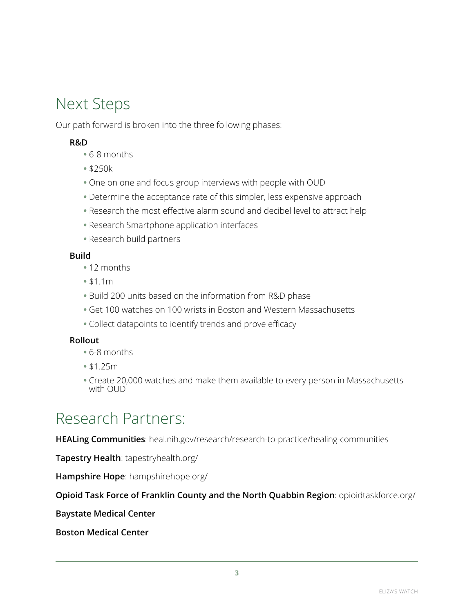## Next Steps

Our path forward is broken into the three following phases:

#### **R&D**

- **•** 6-8 months
- **•** \$250k
- **•** One on one and focus group interviews with people with OUD
- **•** Determine the acceptance rate of this simpler, less expensive approach
- **•** Research the most effective alarm sound and decibel level to attract help
- **•** Research Smartphone application interfaces
- **•** Research build partners

#### **Build**

- **•** 12 months
- **•** \$1.1m
- **•** Build 200 units based on the information from R&D phase
- **•** Get 100 watches on 100 wrists in Boston and Western Massachusetts
- **•** Collect datapoints to identify trends and prove efficacy

#### **Rollout**

- **•** 6-8 months
- **•** \$1.25m
- **•** Create 20,000 watches and make them available to every person in Massachusetts with OUD

### Research Partners:

**HEALing Communities**[: heal.nih.gov/research/research-to-practice/healing-communities](https://heal.nih.gov/research/research-to-practice/healing-communities)

**Tapestry Health**[: tapestryhealth.org/](https://www.tapestryhealth.org/)

**Hampshire Hope**[: hampshirehope.org/](https://www.hampshirehope.org/)

**[Opioid Task Force of Franklin County and the North Quabbin Region](https://www.opioidtaskforce.org/)**: opioidtaskforce.org/

**Baystate Medical Center**

**Boston Medical Center**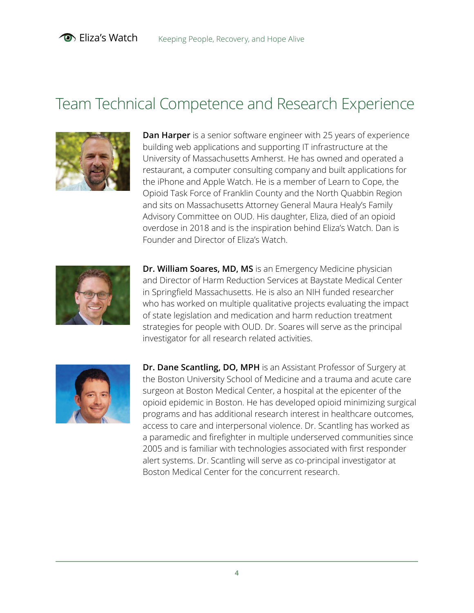## Team Technical Competence and Research Experience



**Dan Harper** is a senior software engineer with 25 years of experience building web applications and supporting IT infrastructure at the University of Massachusetts Amherst. He has owned and operated a restaurant, a computer consulting company and built applications for the iPhone and Apple Watch. He is a member of Learn to Cope, the Opioid Task Force of Franklin County and the North Quabbin Region and sits on Massachusetts Attorney General Maura Healy's Family Advisory Committee on OUD. His daughter, Eliza, died of an opioid overdose in 2018 and is the inspiration behind Eliza's Watch. Dan is Founder and Director of Eliza's Watch.



**Dr. William Soares, MD, MS** is an Emergency Medicine physician and Director of Harm Reduction Services at Baystate Medical Center in Springfield Massachusetts. He is also an NIH funded researcher who has worked on multiple qualitative projects evaluating the impact of state legislation and medication and harm reduction treatment strategies for people with OUD. Dr. Soares will serve as the principal investigator for all research related activities.



**Dr. Dane Scantling, DO, MPH** is an Assistant Professor of Surgery at the Boston University School of Medicine and a trauma and acute care surgeon at Boston Medical Center, a hospital at the epicenter of the opioid epidemic in Boston. He has developed opioid minimizing surgical programs and has additional research interest in healthcare outcomes, access to care and interpersonal violence. Dr. Scantling has worked as a paramedic and firefighter in multiple underserved communities since 2005 and is familiar with technologies associated with first responder alert systems. Dr. Scantling will serve as co-principal investigator at Boston Medical Center for the concurrent research.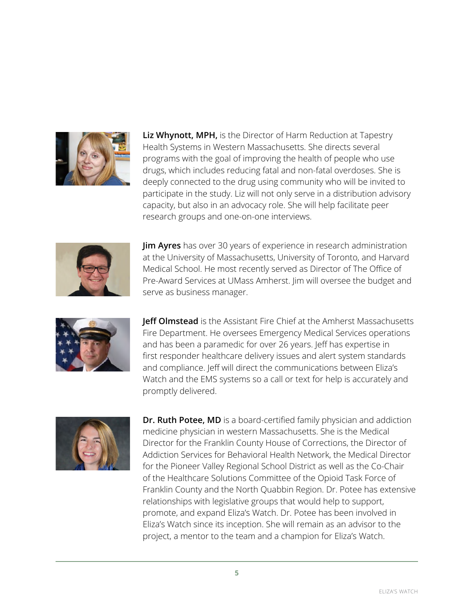

**Liz Whynott, MPH,** is the Director of Harm Reduction at Tapestry Health Systems in Western Massachusetts. She directs several programs with the goal of improving the health of people who use drugs, which includes reducing fatal and non-fatal overdoses. She is deeply connected to the drug using community who will be invited to participate in the study. Liz will not only serve in a distribution advisory capacity, but also in an advocacy role. She will help facilitate peer research groups and one-on-one interviews.



**Jim Ayres** has over 30 years of experience in research administration at the University of Massachusetts, University of Toronto, and Harvard Medical School. He most recently served as Director of The Office of Pre-Award Services at UMass Amherst. Jim will oversee the budget and serve as business manager.



**Jeff Olmstead** is the Assistant Fire Chief at the Amherst Massachusetts Fire Department. He oversees Emergency Medical Services operations and has been a paramedic for over 26 years. Jeff has expertise in first responder healthcare delivery issues and alert system standards and compliance. Jeff will direct the communications between Eliza's Watch and the EMS systems so a call or text for help is accurately and promptly delivered.



**Dr. Ruth Potee, MD** is a board-certified family physician and addiction medicine physician in western Massachusetts. She is the Medical Director for the Franklin County House of Corrections, the Director of Addiction Services for Behavioral Health Network, the Medical Director for the Pioneer Valley Regional School District as well as the Co-Chair of the Healthcare Solutions Committee of the Opioid Task Force of Franklin County and the North Quabbin Region. Dr. Potee has extensive relationships with legislative groups that would help to support, promote, and expand Eliza's Watch. Dr. Potee has been involved in Eliza's Watch since its inception. She will remain as an advisor to the project, a mentor to the team and a champion for Eliza's Watch.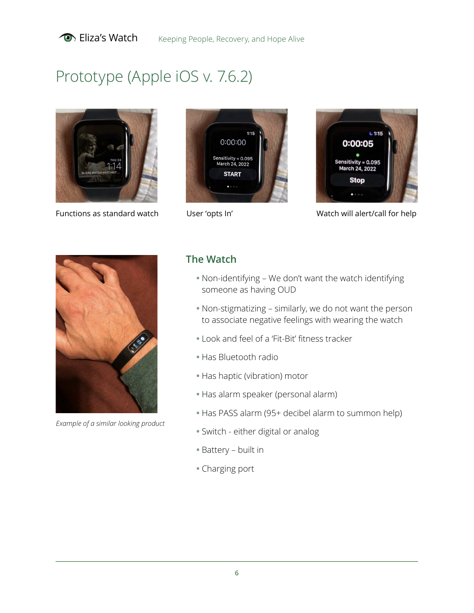

# Prototype (Apple iOS v. 7.6.2)



Functions as standard watch User 'opts In' Watch will alert/call for help







*Example of a similar looking product*

### **The Watch**

- **•** Non-identifying We don't want the watch identifying someone as having OUD
- **•** Non-stigmatizing similarly, we do not want the person to associate negative feelings with wearing the watch
- **•** Look and feel of a 'Fit-Bit' fitness tracker
- **•** Has Bluetooth radio
- **•** Has haptic (vibration) motor
- **•** Has alarm speaker (personal alarm)
- **•** Has PASS alarm (95+ decibel alarm to summon help)
- **•** Switch either digital or analog
- **•** Battery built in
- **•** Charging port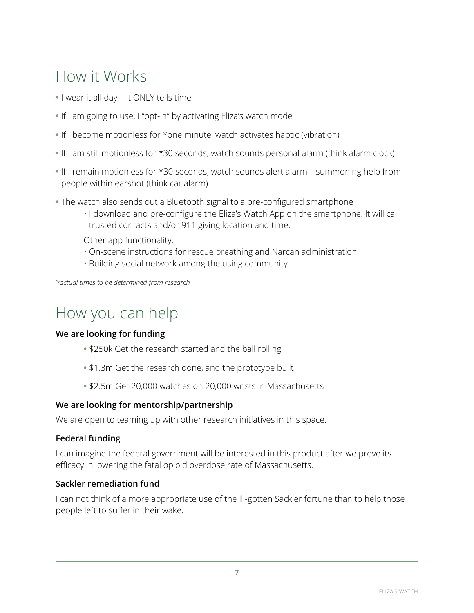# How it Works

- **•** I wear it all day it ONLY tells time
- **•** If I am going to use, I "opt-in" by activating Eliza's watch mode
- **•** If I become motionless for \*one minute, watch activates haptic (vibration)
- **•** If I am still motionless for \*30 seconds, watch sounds personal alarm (think alarm clock)
- **•** If I remain motionless for \*30 seconds, watch sounds alert alarm—summoning help from people within earshot (think car alarm)
- **•** The watch also sends out a Bluetooth signal to a pre-configured smartphone
	- I download and pre-configure the Eliza's Watch App on the smartphone. It will call trusted contacts and/or 911 giving location and time.

Other app functionality:

- On-scene instructions for rescue breathing and Narcan administration
- Building social network among the using community

*\*actual times to be determined from research*

## How you can help

#### **We are looking for funding**

- **•** \$250k Get the research started and the ball rolling
- **•** \$1.3m Get the research done, and the prototype built
- **•** \$2.5m Get 20,000 watches on 20,000 wrists in Massachusetts

#### **We are looking for mentorship/partnership**

We are open to teaming up with other research initiatives in this space.

#### **Federal funding**

I can imagine the federal government will be interested in this product after we prove its efficacy in lowering the fatal opioid overdose rate of Massachusetts.

#### **Sackler remediation fund**

I can not think of a more appropriate use of the ill-gotten Sackler fortune than to help those people left to suffer in their wake.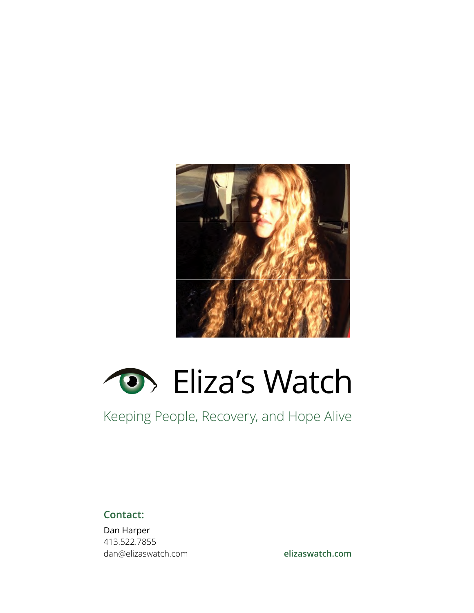



### Keeping People, Recovery, and Hope Alive

**Contact:** 

Dan Harper 413.522.7855 dan@elizaswatch.com

**[elizaswatch.com](https://elizaswatch.com/)**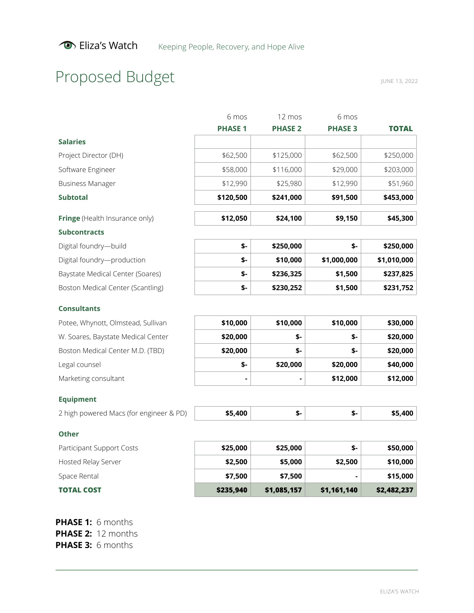# Proposed Budget

JUNE 13, 2022

|                                         | 6 mos          | 12 mos         | 6 mos          |              |
|-----------------------------------------|----------------|----------------|----------------|--------------|
|                                         | <b>PHASE 1</b> | <b>PHASE 2</b> | <b>PHASE 3</b> | <b>TOTAL</b> |
| <b>Salaries</b>                         |                |                |                |              |
| Project Director (DH)                   | \$62,500       | \$125,000      | \$62,500       | \$250,000    |
| Software Engineer                       | \$58,000       | \$116,000      | \$29,000       | \$203,000    |
| <b>Business Manager</b>                 | \$12,990       | \$25,980       | \$12,990       | \$51,960     |
| <b>Subtotal</b>                         | \$120,500      | \$241,000      | \$91,500       | \$453,000    |
| Fringe (Health Insurance only)          | \$12,050       | \$24,100       | \$9,150        | \$45,300     |
| <b>Subcontracts</b>                     |                |                |                |              |
| Digital foundry-build                   | \$-            | \$250,000      | \$-            | \$250,000    |
| Digital foundry-production              | \$-            | \$10,000       | \$1,000,000    | \$1,010,000  |
| Baystate Medical Center (Soares)        | \$-            | \$236,325      | \$1,500        | \$237,825    |
| Boston Medical Center (Scantling)       | \$-            | \$230,252      | \$1,500        | \$231,752    |
| <b>Consultants</b>                      |                |                |                |              |
| Potee, Whynott, Olmstead, Sullivan      | \$10,000       | \$10,000       | \$10,000       | \$30,000     |
| W. Soares, Baystate Medical Center      | \$20,000       | \$-            | \$-            | \$20,000     |
| Boston Medical Center M.D. (TBD)        | \$20,000       | \$-            | \$-            | \$20,000     |
| Legal counsel                           | \$-            | \$20,000       | \$20,000       | \$40,000     |
| Marketing consultant                    |                |                | \$12,000       | \$12,000     |
| <b>Equipment</b>                        |                |                |                |              |
| 2 high powered Macs (for engineer & PD) | \$5,400        | \$-            | \$-            | \$5,400      |
| <b>Other</b>                            |                |                |                |              |
| Participant Support Costs               | \$25,000       | \$25,000       | \$-            | \$50,000     |
|                                         |                |                |                |              |

| <b>TOTAL COST</b>         | \$235,940 | \$1,085,157 | \$1,161,140 | \$2,482,237 |
|---------------------------|-----------|-------------|-------------|-------------|
| Space Rental              | \$7.500   | \$7.500     |             | \$15,000    |
| Hosted Relay Server       | \$2,500   | \$5,000     | \$2,500     | \$10,000    |
| Participant Support Costs | \$25.000  | \$25,000    | ৬-          | \$50,000    |

**PHASE 1:** 6 months **PHASE 2:** 12 months **PHASE 3:** 6 months